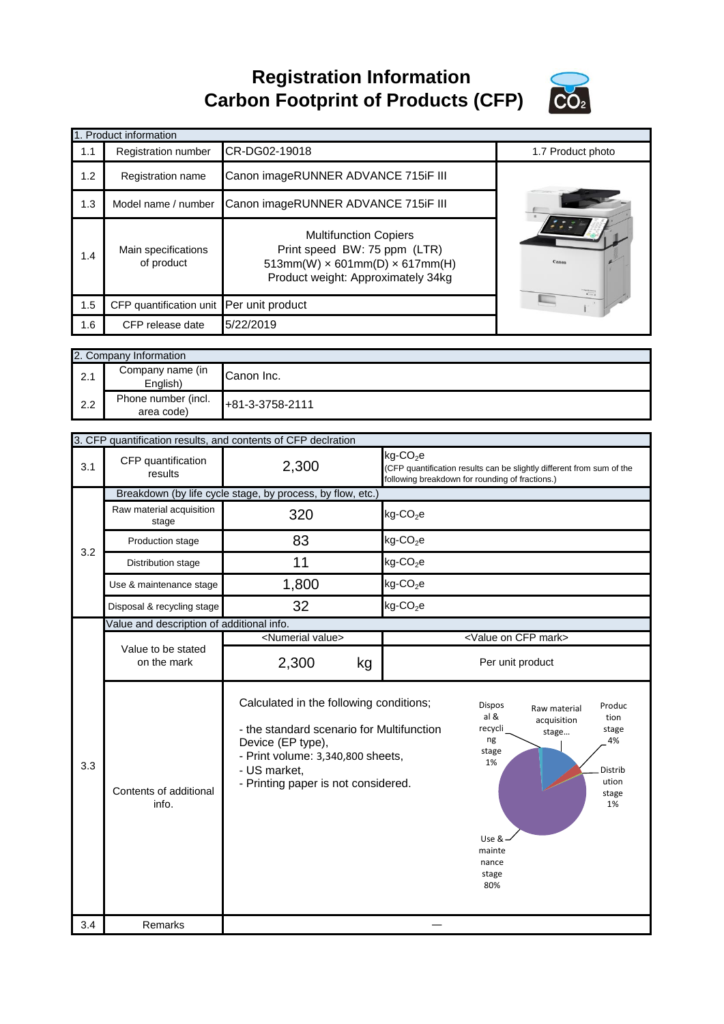**Registration Information Carbon Footprint of Products (CFP)**



|                                                            | 1. Product information                    |                                                                                                                                                                                                       |                                                                            |                                                                                                                                                                                                               |
|------------------------------------------------------------|-------------------------------------------|-------------------------------------------------------------------------------------------------------------------------------------------------------------------------------------------------------|----------------------------------------------------------------------------|---------------------------------------------------------------------------------------------------------------------------------------------------------------------------------------------------------------|
| 1.1                                                        | Registration number                       | CR-DG02-19018                                                                                                                                                                                         |                                                                            | 1.7 Product photo                                                                                                                                                                                             |
|                                                            |                                           |                                                                                                                                                                                                       |                                                                            |                                                                                                                                                                                                               |
| 1.2                                                        | Registration name                         | Canon imageRUNNER ADVANCE 715iF III                                                                                                                                                                   |                                                                            |                                                                                                                                                                                                               |
| 1.3                                                        | Model name / number                       | Canon imageRUNNER ADVANCE 715iF III                                                                                                                                                                   |                                                                            |                                                                                                                                                                                                               |
| 1.4                                                        | Main specifications<br>of product         | <b>Multifunction Copiers</b><br>Print speed BW: 75 ppm (LTR)<br>$513mm(W) \times 601mm(D) \times 617mm(H)$<br>Product weight: Approximately 34kg                                                      |                                                                            |                                                                                                                                                                                                               |
| 1.5                                                        | CFP quantification unit                   | Per unit product                                                                                                                                                                                      |                                                                            |                                                                                                                                                                                                               |
| 1.6                                                        | CFP release date                          | 5/22/2019                                                                                                                                                                                             |                                                                            |                                                                                                                                                                                                               |
|                                                            |                                           |                                                                                                                                                                                                       |                                                                            |                                                                                                                                                                                                               |
|                                                            | 2. Company Information                    |                                                                                                                                                                                                       |                                                                            |                                                                                                                                                                                                               |
| 2.1                                                        | Company name (in<br>English)              | Canon Inc.                                                                                                                                                                                            |                                                                            |                                                                                                                                                                                                               |
| 2.2                                                        | Phone number (incl.<br>area code)         | +81-3-3758-2111                                                                                                                                                                                       |                                                                            |                                                                                                                                                                                                               |
|                                                            |                                           |                                                                                                                                                                                                       |                                                                            |                                                                                                                                                                                                               |
|                                                            |                                           | 3. CFP quantification results, and contents of CFP declration                                                                                                                                         |                                                                            |                                                                                                                                                                                                               |
| 3.1                                                        | CFP quantification<br>results             | 2,300                                                                                                                                                                                                 | $kg$ -CO <sub>2</sub> e<br>following breakdown for rounding of fractions.) | (CFP quantification results can be slightly different from sum of the                                                                                                                                         |
| Breakdown (by life cycle stage, by process, by flow, etc.) |                                           |                                                                                                                                                                                                       |                                                                            |                                                                                                                                                                                                               |
|                                                            | Raw material acquisition<br>stage         | 320                                                                                                                                                                                                   | $kg$ -CO <sub>2</sub> e                                                    |                                                                                                                                                                                                               |
| 3.2                                                        | Production stage                          | 83                                                                                                                                                                                                    | $kg$ -CO <sub>2</sub> e                                                    |                                                                                                                                                                                                               |
|                                                            | Distribution stage                        | 11                                                                                                                                                                                                    | $kg$ -CO <sub>2</sub> e                                                    |                                                                                                                                                                                                               |
|                                                            | Use & maintenance stage                   | 1,800                                                                                                                                                                                                 | $kg$ -CO <sub>2</sub> e                                                    |                                                                                                                                                                                                               |
|                                                            | Disposal & recycling stage                | 32                                                                                                                                                                                                    | $kg$ -CO <sub>2</sub> e                                                    |                                                                                                                                                                                                               |
|                                                            | Value and description of additional info. |                                                                                                                                                                                                       |                                                                            |                                                                                                                                                                                                               |
|                                                            | Value to be stated                        | <numerial value=""></numerial>                                                                                                                                                                        |                                                                            | <value cfp="" mark="" on=""></value>                                                                                                                                                                          |
|                                                            | on the mark                               | 2,300<br>kg                                                                                                                                                                                           |                                                                            | Per unit product                                                                                                                                                                                              |
| 3.3                                                        | Contents of additional<br>info.           | Calculated in the following conditions;<br>- the standard scenario for Multifunction<br>Device (EP type),<br>- Print volume: 3,340,800 sheets,<br>- US market,<br>- Printing paper is not considered. |                                                                            | <b>Dispos</b><br>Produc<br>Raw material<br>al &<br>tion<br>acquisition<br>recycli<br>stage<br>stage<br>ng<br>4%<br>stage<br>1%<br>Distrib<br>ution<br>stage<br>1%<br>Use &<br>mainte<br>nance<br>stage<br>80% |
| 3.4                                                        | Remarks                                   |                                                                                                                                                                                                       |                                                                            |                                                                                                                                                                                                               |